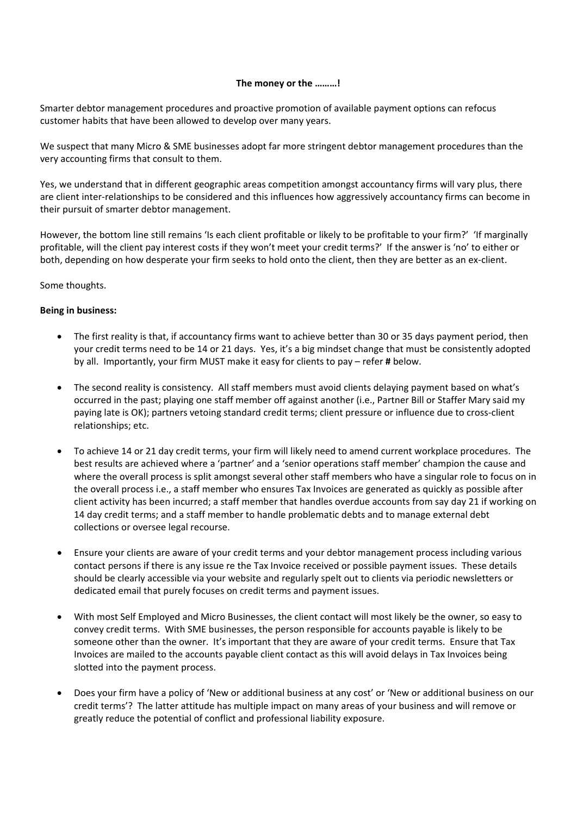## **The money or the ………!**

Smarter debtor management procedures and proactive promotion of available payment options can refocus customer habits that have been allowed to develop over many years.

We suspect that many Micro & SME businesses adopt far more stringent debtor management procedures than the very accounting firms that consult to them.

Yes, we understand that in different geographic areas competition amongst accountancy firms will vary plus, there are client inter-relationships to be considered and this influences how aggressively accountancy firms can become in their pursuit of smarter debtor management.

However, the bottom line still remains 'Is each client profitable or likely to be profitable to your firm?' 'If marginally profitable, will the client pay interest costs if they won't meet your credit terms?' If the answer is 'no' to either or both, depending on how desperate your firm seeks to hold onto the client, then they are better as an ex‐client.

Some thoughts.

# **Being in business:**

- The first reality is that, if accountancy firms want to achieve better than 30 or 35 days payment period, then your credit terms need to be 14 or 21 days. Yes, it's a big mindset change that must be consistently adopted by all. Importantly, your firm MUST make it easy for clients to pay – refer **#** below.
- The second reality is consistency. All staff members must avoid clients delaying payment based on what's occurred in the past; playing one staff member off against another (i.e., Partner Bill or Staffer Mary said my paying late is OK); partners vetoing standard credit terms; client pressure or influence due to cross-client relationships; etc.
- To achieve 14 or 21 day credit terms, your firm will likely need to amend current workplace procedures. The best results are achieved where a 'partner' and a 'senior operations staff member' champion the cause and where the overall process is split amongst several other staff members who have a singular role to focus on in the overall process i.e., a staff member who ensures Tax Invoices are generated as quickly as possible after client activity has been incurred; a staff member that handles overdue accounts from say day 21 if working on 14 day credit terms; and a staff member to handle problematic debts and to manage external debt collections or oversee legal recourse.
- Ensure your clients are aware of your credit terms and your debtor management process including various contact persons if there is any issue re the Tax Invoice received or possible payment issues. These details should be clearly accessible via your website and regularly spelt out to clients via periodic newsletters or dedicated email that purely focuses on credit terms and payment issues.
- With most Self Employed and Micro Businesses, the client contact will most likely be the owner, so easy to convey credit terms. With SME businesses, the person responsible for accounts payable is likely to be someone other than the owner. It's important that they are aware of your credit terms. Ensure that Tax Invoices are mailed to the accounts payable client contact as this will avoid delays in Tax Invoices being slotted into the payment process.
- Does your firm have a policy of 'New or additional business at any cost' or 'New or additional business on our credit terms'? The latter attitude has multiple impact on many areas of your business and will remove or greatly reduce the potential of conflict and professional liability exposure.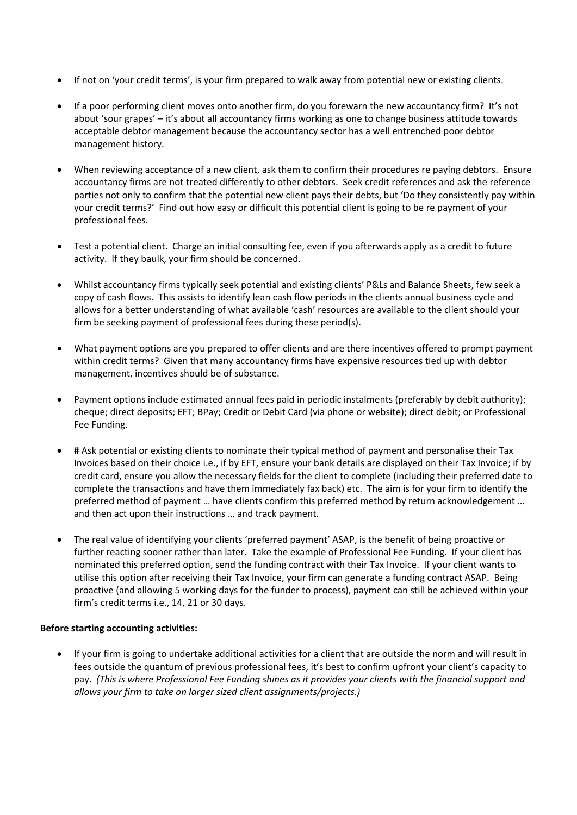- If not on 'your credit terms', is your firm prepared to walk away from potential new or existing clients.
- If a poor performing client moves onto another firm, do you forewarn the new accountancy firm? It's not about 'sour grapes' – it's about all accountancy firms working as one to change business attitude towards acceptable debtor management because the accountancy sector has a well entrenched poor debtor management history.
- When reviewing acceptance of a new client, ask them to confirm their procedures re paying debtors. Ensure accountancy firms are not treated differently to other debtors. Seek credit references and ask the reference parties not only to confirm that the potential new client pays their debts, but 'Do they consistently pay within your credit terms?' Find out how easy or difficult this potential client is going to be re payment of your professional fees.
- Test a potential client. Charge an initial consulting fee, even if you afterwards apply as a credit to future activity. If they baulk, your firm should be concerned.
- Whilst accountancy firms typically seek potential and existing clients' P&Ls and Balance Sheets, few seek a copy of cash flows. This assists to identify lean cash flow periods in the clients annual business cycle and allows for a better understanding of what available 'cash' resources are available to the client should your firm be seeking payment of professional fees during these period(s).
- What payment options are you prepared to offer clients and are there incentives offered to prompt payment within credit terms? Given that many accountancy firms have expensive resources tied up with debtor management, incentives should be of substance.
- Payment options include estimated annual fees paid in periodic instalments (preferably by debit authority); cheque; direct deposits; EFT; BPay; Credit or Debit Card (via phone or website); direct debit; or Professional Fee Funding.
- **#** Ask potential or existing clients to nominate their typical method of payment and personalise their Tax Invoices based on their choice i.e., if by EFT, ensure your bank details are displayed on their Tax Invoice; if by credit card, ensure you allow the necessary fields for the client to complete (including their preferred date to complete the transactions and have them immediately fax back) etc. The aim is for your firm to identify the preferred method of payment … have clients confirm this preferred method by return acknowledgement … and then act upon their instructions … and track payment.
- The real value of identifying your clients 'preferred payment' ASAP, is the benefit of being proactive or further reacting sooner rather than later. Take the example of Professional Fee Funding. If your client has nominated this preferred option, send the funding contract with their Tax Invoice. If your client wants to utilise this option after receiving their Tax Invoice, your firm can generate a funding contract ASAP. Being proactive (and allowing 5 working days for the funder to process), payment can still be achieved within your firm's credit terms i.e., 14, 21 or 30 days.

## **Before starting accounting activities:**

 If your firm is going to undertake additional activities for a client that are outside the norm and will result in fees outside the quantum of previous professional fees, it's best to confirm upfront your client's capacity to pay. (This is where Professional Fee Funding shines as it provides your clients with the financial support and *allows your firm to take on larger sized client assignments/projects.)*